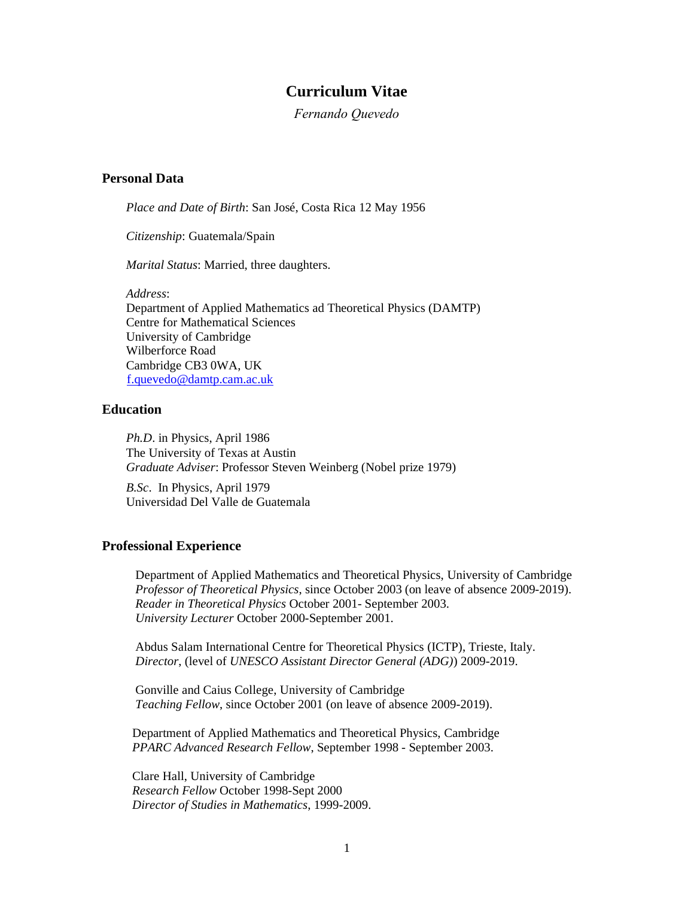# **Curriculum Vitae**

*Fernando Quevedo*

## **Personal Data**

*Place and Date of Birth*: San José, Costa Rica 12 May 1956

*Citizenship*: Guatemala/Spain

*Marital Status*: Married, three daughters.

*Address*:

Department of Applied Mathematics ad Theoretical Physics (DAMTP) Centre for Mathematical Sciences University of Cambridge Wilberforce Road Cambridge CB3 0WA, UK [f.quevedo@damtp.cam.ac.uk](mailto:f.quevedo@damtp.cam.ac.uk) 

## **Education**

*Ph.D*. in Physics, April 1986 The University of Texas at Austin *Graduate Adviser*: Professor Steven Weinberg (Nobel prize 1979)

*B.Sc*. In Physics, April 1979 Universidad Del Valle de Guatemala

#### **Professional Experience**

Department of Applied Mathematics and Theoretical Physics, University of Cambridge  *Professor of Theoretical Physics*, since October 2003 (on leave of absence 2009-2019).  *Reader in Theoretical Physics* October 2001- September 2003.  *University Lecturer* October 2000-September 2001.

Abdus Salam International Centre for Theoretical Physics (ICTP), Trieste, Italy.  *Director*, (level of *UNESCO Assistant Director General (ADG)*) 2009-2019.

Gonville and Caius College, University of Cambridge  *Teaching Fellow*, since October 2001 (on leave of absence 2009-2019).

Department of Applied Mathematics and Theoretical Physics, Cambridge  *PPARC Advanced Research Fellow*, September 1998 - September 2003.

Clare Hall, University of Cambridge  *Research Fellow* October 1998-Sept 2000 *Director of Studies in Mathematics*, 1999-2009.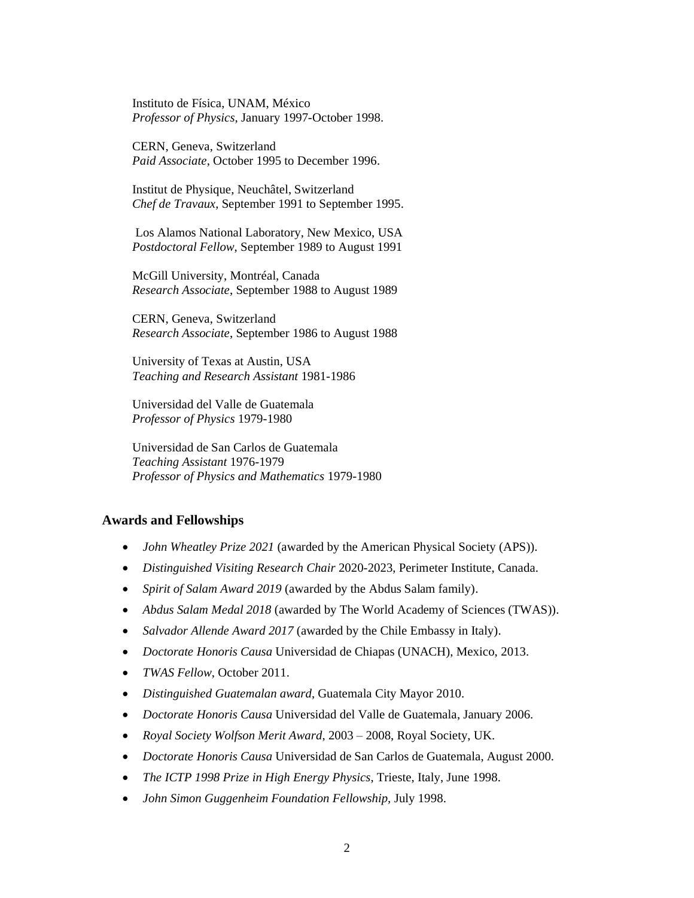Instituto de Física, UNAM, México  *Professor of Physics*, January 1997-October 1998.

CERN, Geneva, Switzerland  *Paid Associate*, October 1995 to December 1996.

Institut de Physique, Neuchâtel, Switzerland  *Chef de Travaux*, September 1991 to September 1995.

Los Alamos National Laboratory, New Mexico, USA  *Postdoctoral Fellow*, September 1989 to August 1991

McGill University, Montréal, Canada  *Research Associate*, September 1988 to August 1989

CERN, Geneva, Switzerland  *Research Associate*, September 1986 to August 1988

 University of Texas at Austin, USA *Teaching and Research Assistant* 1981-1986

Universidad del Valle de Guatemala *Professor of Physics* 1979-1980

 Universidad de San Carlos de Guatemala *Teaching Assistant* 1976-1979 *Professor of Physics and Mathematics* 1979-1980

### **Awards and Fellowships**

- *John Wheatley Prize 2021* (awarded by the American Physical Society (APS)).
- *Distinguished Visiting Research Chair* 2020-2023, Perimeter Institute, Canada.
- *Spirit of Salam Award 2019* (awarded by the Abdus Salam family).
- *Abdus Salam Medal 2018* (awarded by The World Academy of Sciences (TWAS)).
- *Salvador Allende Award 2017* (awarded by the Chile Embassy in Italy).
- *Doctorate Honoris Causa* Universidad de Chiapas (UNACH), Mexico, 2013.
- *TWAS Fellow*, October 2011.
- *Distinguished Guatemalan award*, Guatemala City Mayor 2010.
- *Doctorate Honoris Causa* Universidad del Valle de Guatemala, January 2006.
- *Royal Society Wolfson Merit Award*, 2003 2008, Royal Society, UK.
- *Doctorate Honoris Causa* Universidad de San Carlos de Guatemala, August 2000.
- *The ICTP 1998 Prize in High Energy Physics*, Trieste, Italy, June 1998.
- *John Simon Guggenheim Foundation Fellowship,* July 1998.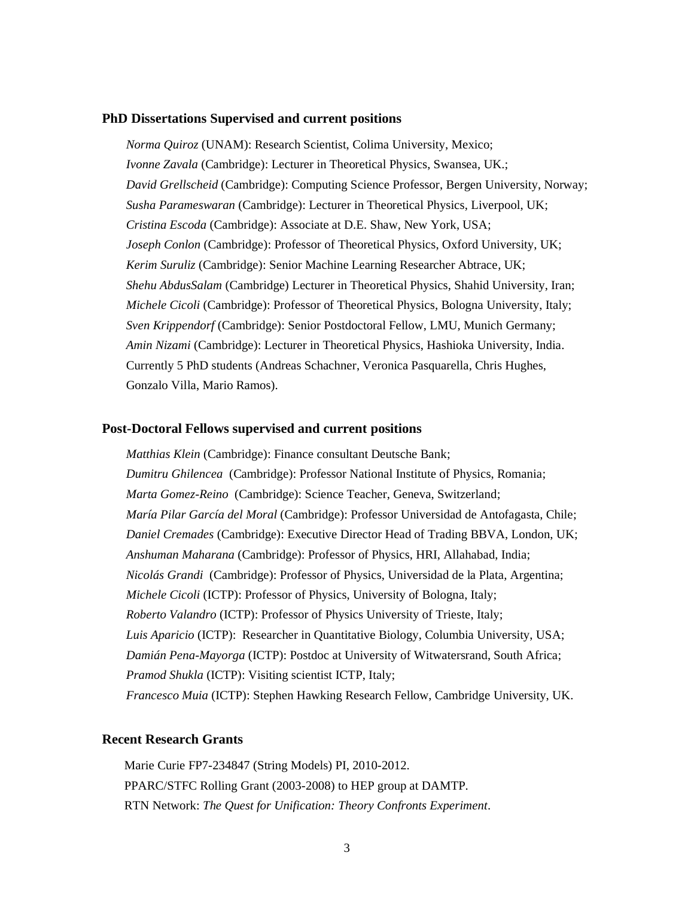#### **PhD Dissertations Supervised and current positions**

*Norma Quiroz* (UNAM): Research Scientist, Colima University, Mexico; *Ivonne Zavala* (Cambridge): Lecturer in Theoretical Physics, Swansea, UK.; *David Grellscheid* (Cambridge): Computing Science Professor, Bergen University, Norway; *Susha Parameswaran* (Cambridge): Lecturer in Theoretical Physics, Liverpool, UK; *Cristina Escoda* (Cambridge): Associate at D.E. Shaw, New York, USA; *Joseph Conlon* (Cambridge): Professor of Theoretical Physics, Oxford University, UK; *Kerim Suruliz* (Cambridge): Senior Machine Learning Researcher Abtrace, UK; *Shehu AbdusSalam* (Cambridge) Lecturer in Theoretical Physics, Shahid University, Iran; *Michele Cicoli* (Cambridge): Professor of Theoretical Physics, Bologna University, Italy; *Sven Krippendorf* (Cambridge): Senior Postdoctoral Fellow, LMU, Munich Germany; *Amin Nizami* (Cambridge): Lecturer in Theoretical Physics, Hashioka University, India. Currently 5 PhD students (Andreas Schachner, Veronica Pasquarella, Chris Hughes, Gonzalo Villa, Mario Ramos).

#### **Post-Doctoral Fellows supervised and current positions**

*Matthias Klein* (Cambridge): Finance consultant Deutsche Bank; *Dumitru Ghilencea* (Cambridge): Professor National Institute of Physics, Romania; *Marta Gomez-Reino* (Cambridge): Science Teacher, Geneva, Switzerland; *María Pilar García del Moral* (Cambridge): Professor Universidad de Antofagasta, Chile; *Daniel Cremades* (Cambridge): Executive Director Head of Trading BBVA, London, UK; *Anshuman Maharana* (Cambridge): Professor of Physics, HRI, Allahabad, India; *Nicolás Grandi* (Cambridge): Professor of Physics, Universidad de la Plata, Argentina; *Michele Cicoli* (ICTP): Professor of Physics, University of Bologna, Italy; *Roberto Valandro* (ICTP): Professor of Physics University of Trieste, Italy; *Luis Aparicio* (ICTP): Researcher in Quantitative Biology, Columbia University, USA; *Damián Pena-Mayorga* (ICTP): Postdoc at University of Witwatersrand, South Africa; *Pramod Shukla* (ICTP): Visiting scientist ICTP, Italy; *Francesco Muia* (ICTP): Stephen Hawking Research Fellow, Cambridge University, UK.

#### **Recent Research Grants**

Marie Curie FP7-234847 (String Models) PI, 2010-2012. PPARC/STFC Rolling Grant (2003-2008) to HEP group at DAMTP. RTN Network: *The Quest for Unification: Theory Confronts Experiment*.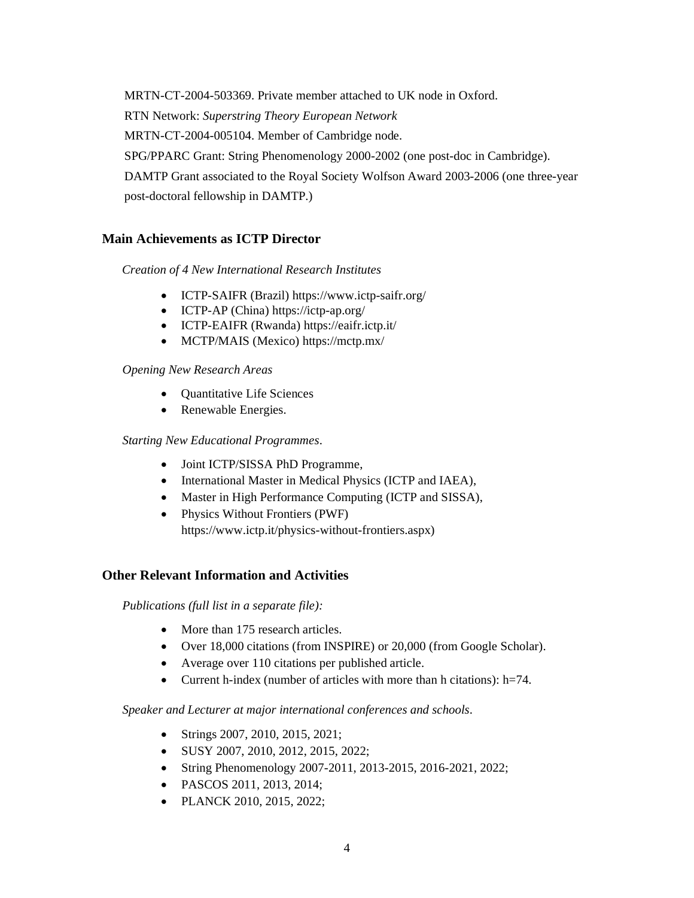MRTN-CT-2004-503369. Private member attached to UK node in Oxford. RTN Network: *Superstring Theory European Network* MRTN-CT-2004-005104. Member of Cambridge node. SPG/PPARC Grant: String Phenomenology 2000-2002 (one post-doc in Cambridge). DAMTP Grant associated to the Royal Society Wolfson Award 2003-2006 (one three-year post-doctoral fellowship in DAMTP.)

# **Main Achievements as ICTP Director**

*Creation of 4 New International Research Institutes*

- ICTP-SAIFR (Brazil) https://www.ictp-saifr.org/
- ICTP-AP (China) https://ictp-ap.org/
- ICTP-EAIFR (Rwanda) https://eaifr.ictp.it/
- MCTP/MAIS (Mexico) https://mctp.mx/

## *Opening New Research Areas*

- Quantitative Life Sciences
- Renewable Energies.

## *Starting New Educational Programmes*.

- Joint ICTP/SISSA PhD Programme,
- International Master in Medical Physics (ICTP and IAEA),
- Master in High Performance Computing (ICTP and SISSA),
- Physics Without Frontiers (PWF) https://www.ictp.it/physics-without-frontiers.aspx)

# **Other Relevant Information and Activities**

*Publications (full list in a separate file):*

- More than 175 research articles.
- Over 18,000 citations (from INSPIRE) or 20,000 (from Google Scholar).
- Average over 110 citations per published article.
- Current h-index (number of articles with more than h citations): h=74.

*Speaker and Lecturer at major international conferences and schools*.

- Strings 2007, 2010, 2015, 2021;
- SUSY 2007, 2010, 2012, 2015, 2022;
- String Phenomenology 2007-2011, 2013-2015, 2016-2021, 2022;
- PASCOS 2011, 2013, 2014;
- PLANCK 2010, 2015, 2022;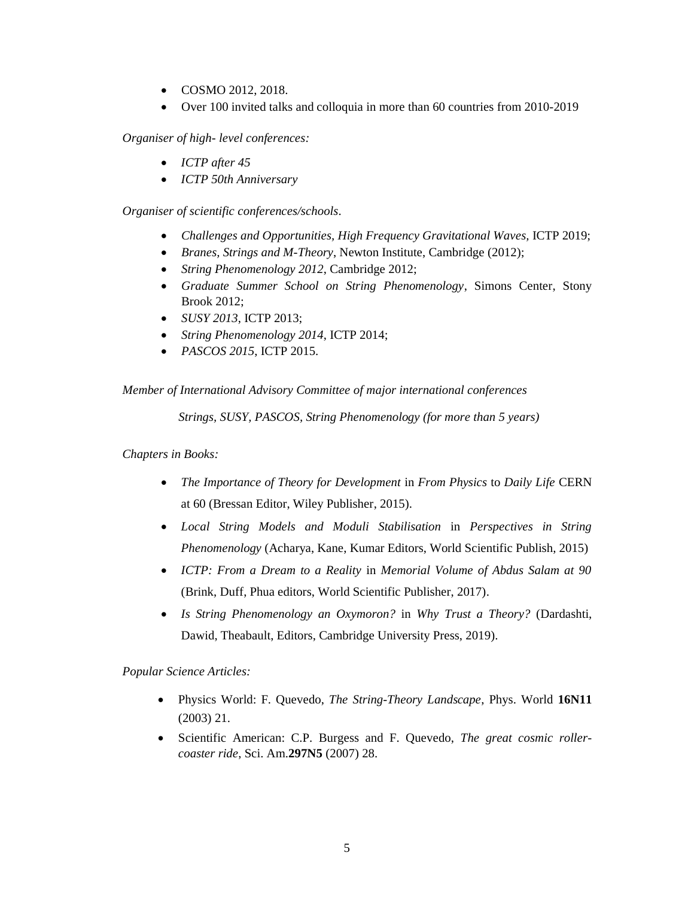- COSMO 2012, 2018.
- Over 100 invited talks and colloquia in more than 60 countries from 2010-2019

*Organiser of high- level conferences:*

- *ICTP after 45*
- *ICTP 50th Anniversary*

*Organiser of scientific conferences/schools*.

- *Challenges and Opportunities, High Frequency Gravitational Waves, ICTP 2019;*
- *Branes, Strings and M-Theory*, Newton Institute, Cambridge (2012);
- *String Phenomenology 2012*, Cambridge 2012;
- *Graduate Summer School on String Phenomenology*, Simons Center, Stony Brook 2012;
- *SUSY 2013*, ICTP 2013;
- *String Phenomenology 2014*, ICTP 2014;
- *PASCOS 2015*, ICTP 2015.

*Member of International Advisory Committee of major international conferences*

 *Strings, SUSY, PASCOS, String Phenomenology (for more than 5 years)*

## *Chapters in Books:*

- *The Importance of Theory for Development* in *From Physics* to *Daily Life* CERN at 60 (Bressan Editor, Wiley Publisher, 2015).
- *Local String Models and Moduli Stabilisation* in *Perspectives in String Phenomenology* (Acharya, Kane, Kumar Editors, World Scientific Publish, 2015)
- *ICTP: From a Dream to a Reality* in *Memorial Volume of Abdus Salam at 90* (Brink, Duff, Phua editors, World Scientific Publisher, 2017).
- *Is String Phenomenology an Oxymoron?* in *Why Trust a Theory?* (Dardashti, Dawid, Theabault, Editors, Cambridge University Press, 2019).

*Popular Science Articles:*

- Physics World: F. Quevedo, *The String-Theory Landscape*, Phys. World **16N11** (2003) 21.
- Scientific American: C.P. Burgess and F. Quevedo, *The great cosmic rollercoaster ride*, Sci. Am.**297N5** (2007) 28.